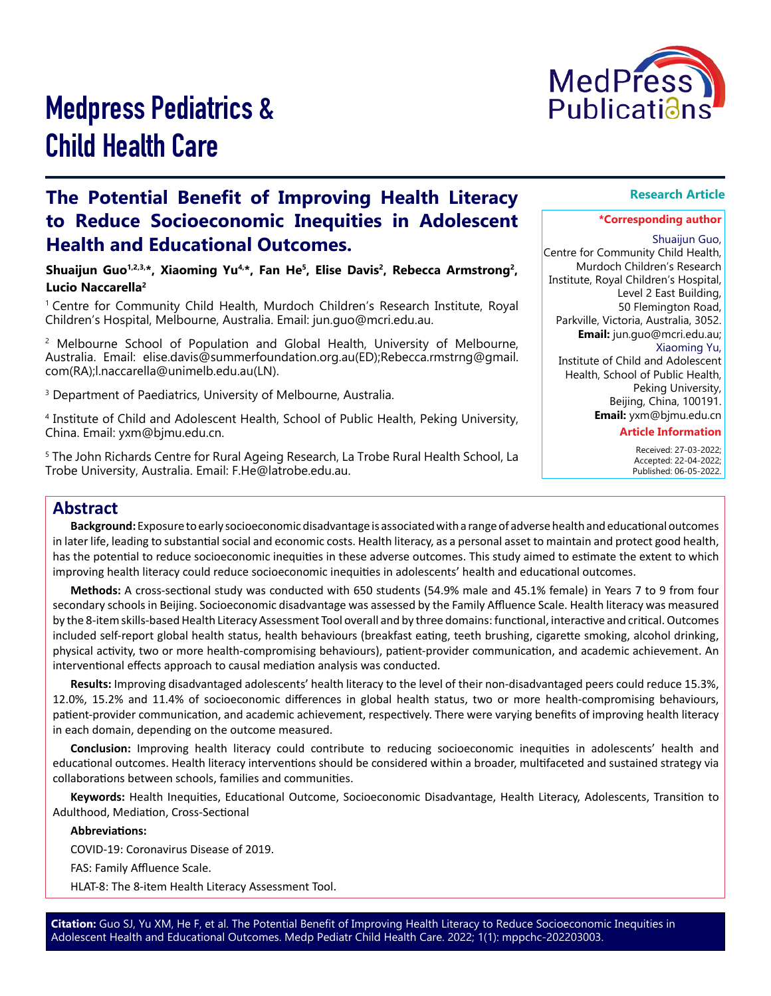

# Medpress Pediatrics & Child Health Care

# **The Potential Benefit of Improving Health Literacy to Reduce Socioeconomic Inequities in Adolescent Health and Educational Outcomes.**

**Shuaijun Guo1,2,3,\*, Xiaoming Yu4,\*, Fan He<sup>5</sup>, Elise Davis<sup>2</sup>, Rebecca Armstrong2, Lucio Naccarella<sup>2</sup>**

1 Centre for Community Child Health, Murdoch Children's Research Institute, Royal Children's Hospital, Melbourne, Australia. Email: jun.guo@mcri.edu.au.

2 Melbourne School of Population and Global Health, University of Melbourne, Australia. Email: elise.davis@summerfoundation.org.au(ED);Rebecca.rmstrng@gmail. com(RA);l.naccarella@unimelb.edu.au(LN).

 $^{\rm 3}$  Department of Paediatrics, University of Melbourne, Australia.

4 Institute of Child and Adolescent Health, School of Public Health, Peking University, China. Email: yxm@bjmu.edu.cn.

 $^{\rm 5}$  The John Richards Centre for Rural Ageing Research, La Trobe Rural Health School, La Trobe University, Australia. Email: F.He@latrobe.edu.au.

## **Research Article**

#### **\*Corresponding author**

Shuaijun Guo, Centre for Community Child Health, Murdoch Children's Research Institute, Royal Children's Hospital, Level 2 East Building, 50 Flemington Road, Parkville, Victoria, Australia, 3052. **Email:** jun.guo@mcri.edu.au; Xiaoming Yu, Institute of Child and Adolescent

> Health, School of Public Health, Peking University, Beijing, China, 100191. **Email:** yxm@bjmu.edu.cn

#### **Article Information**

 Received: 27-03-2022; Accepted: 22-04-2022; Published: 06-05-2022.

# **Abstract**

**Background:** Exposure to early socioeconomic disadvantage is associated with a range of adverse health and educational outcomes in later life, leading to substantial social and economic costs. Health literacy, as a personal asset to maintain and protect good health, has the potential to reduce socioeconomic inequities in these adverse outcomes. This study aimed to estimate the extent to which improving health literacy could reduce socioeconomic inequities in adolescents' health and educational outcomes.

**Methods:** A cross-sectional study was conducted with 650 students (54.9% male and 45.1% female) in Years 7 to 9 from four secondary schools in Beijing. Socioeconomic disadvantage was assessed by the Family Affluence Scale. Health literacy was measured by the 8-item skills-based Health Literacy Assessment Tool overall and by three domains: functional, interactive and critical. Outcomes included self-report global health status, health behaviours (breakfast eating, teeth brushing, cigarette smoking, alcohol drinking, physical activity, two or more health-compromising behaviours), patient-provider communication, and academic achievement. An interventional effects approach to causal mediation analysis was conducted.

**Results:** Improving disadvantaged adolescents' health literacy to the level of their non-disadvantaged peers could reduce 15.3%, 12.0%, 15.2% and 11.4% of socioeconomic differences in global health status, two or more health-compromising behaviours, patient-provider communication, and academic achievement, respectively. There were varying benefits of improving health literacy in each domain, depending on the outcome measured.

**Conclusion:** Improving health literacy could contribute to reducing socioeconomic inequities in adolescents' health and educational outcomes. Health literacy interventions should be considered within a broader, multifaceted and sustained strategy via collaborations between schools, families and communities.

**Keywords:** Health Inequities, Educational Outcome, Socioeconomic Disadvantage, Health Literacy, Adolescents, Transition to Adulthood, Mediation, Cross-Sectional

**Abbreviations:**

COVID-19: Coronavirus Disease of 2019.

FAS: Family Affluence Scale.

HLAT-8: The 8-item Health Literacy Assessment Tool.

**Citation:** Guo SJ, Yu XM, He F, et al. The Potential Benefit of Improving Health Literacy to Reduce Socioeconomic Inequities in Adolescent Health and Educational Outcomes. Medp Pediatr Child Health Care. 2022; 1(1): mppchc-202203003.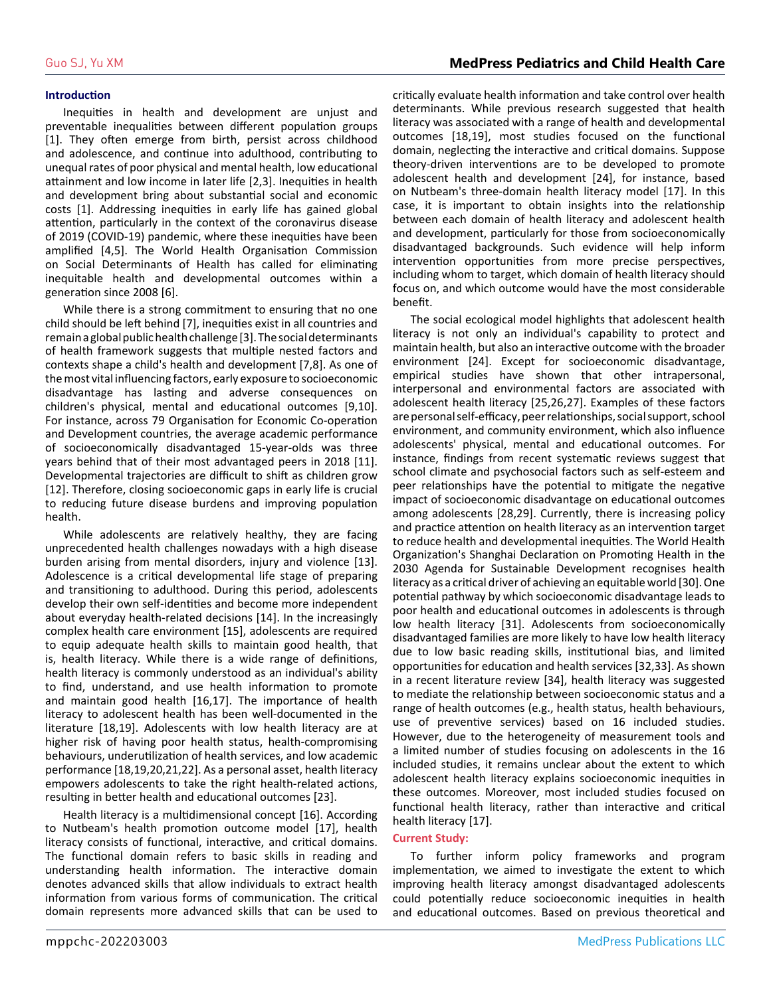#### **Introduction**

Inequities in health and development are unjust and preventable inequalities between different population groups [1]. They often emerge from birth, persist across childhood and adolescence, and continue into adulthood, contributing to unequal rates of poor physical and mental health, low educational attainment and low income in later life [2,3]. Inequities in health and development bring about substantial social and economic costs [1]. Addressing inequities in early life has gained global attention, particularly in the context of the coronavirus disease of 2019 (COVID-19) pandemic, where these inequities have been amplified [4,5]. The World Health Organisation Commission on Social Determinants of Health has called for eliminating inequitable health and developmental outcomes within a generation since 2008 [6].

While there is a strong commitment to ensuring that no one child should be left behind [7], inequities exist in all countries and remain a global public health challenge [3]. The social determinants of health framework suggests that multiple nested factors and contexts shape a child's health and development [7,8]. As one of the most vital influencing factors, early exposure to socioeconomic disadvantage has lasting and adverse consequences on children's physical, mental and educational outcomes [9,10]. For instance, across 79 Organisation for Economic Co-operation and Development countries, the average academic performance of socioeconomically disadvantaged 15-year-olds was three years behind that of their most advantaged peers in 2018 [11]. Developmental trajectories are difficult to shift as children grow [12]. Therefore, closing socioeconomic gaps in early life is crucial to reducing future disease burdens and improving population health.

While adolescents are relatively healthy, they are facing unprecedented health challenges nowadays with a high disease burden arising from mental disorders, injury and violence [13]. Adolescence is a critical developmental life stage of preparing and transitioning to adulthood. During this period, adolescents develop their own self-identities and become more independent about everyday health-related decisions [14]. In the increasingly complex health care environment [15], adolescents are required to equip adequate health skills to maintain good health, that is, health literacy. While there is a wide range of definitions, health literacy is commonly understood as an individual's ability to find, understand, and use health information to promote and maintain good health [16,17]. The importance of health literacy to adolescent health has been well-documented in the literature [18,19]. Adolescents with low health literacy are at higher risk of having poor health status, health-compromising behaviours, underutilization of health services, and low academic performance [18,19,20,21,22]. As a personal asset, health literacy empowers adolescents to take the right health-related actions, resulting in better health and educational outcomes [23].

Health literacy is a multidimensional concept [16]. According to Nutbeam's health promotion outcome model [17], health literacy consists of functional, interactive, and critical domains. The functional domain refers to basic skills in reading and understanding health information. The interactive domain denotes advanced skills that allow individuals to extract health information from various forms of communication. The critical domain represents more advanced skills that can be used to critically evaluate health information and take control over health determinants. While previous research suggested that health literacy was associated with a range of health and developmental outcomes [18,19], most studies focused on the functional domain, neglecting the interactive and critical domains. Suppose theory-driven interventions are to be developed to promote adolescent health and development [24], for instance, based on Nutbeam's three-domain health literacy model [17]. In this case, it is important to obtain insights into the relationship between each domain of health literacy and adolescent health and development, particularly for those from socioeconomically disadvantaged backgrounds. Such evidence will help inform intervention opportunities from more precise perspectives, including whom to target, which domain of health literacy should focus on, and which outcome would have the most considerable benefit.

The social ecological model highlights that adolescent health literacy is not only an individual's capability to protect and maintain health, but also an interactive outcome with the broader environment [24]. Except for socioeconomic disadvantage, empirical studies have shown that other intrapersonal, interpersonal and environmental factors are associated with adolescent health literacy [25,26,27]. Examples of these factors are personal self-efficacy, peer relationships, social support, school environment, and community environment, which also influence adolescents' physical, mental and educational outcomes. For instance, findings from recent systematic reviews suggest that school climate and psychosocial factors such as self-esteem and peer relationships have the potential to mitigate the negative impact of socioeconomic disadvantage on educational outcomes among adolescents [28,29]. Currently, there is increasing policy and practice attention on health literacy as an intervention target to reduce health and developmental inequities. The World Health Organization's Shanghai Declaration on Promoting Health in the 2030 Agenda for Sustainable Development recognises health literacy as a critical driver of achieving an equitable world [30]. One potential pathway by which socioeconomic disadvantage leads to poor health and educational outcomes in adolescents is through low health literacy [31]. Adolescents from socioeconomically disadvantaged families are more likely to have low health literacy due to low basic reading skills, institutional bias, and limited opportunities for education and health services [32,33]. As shown in a recent literature review [34], health literacy was suggested to mediate the relationship between socioeconomic status and a range of health outcomes (e.g., health status, health behaviours, use of preventive services) based on 16 included studies. However, due to the heterogeneity of measurement tools and a limited number of studies focusing on adolescents in the 16 included studies, it remains unclear about the extent to which adolescent health literacy explains socioeconomic inequities in these outcomes. Moreover, most included studies focused on functional health literacy, rather than interactive and critical health literacy [17].

### **Current Study:**

To further inform policy frameworks and program implementation, we aimed to investigate the extent to which improving health literacy amongst disadvantaged adolescents could potentially reduce socioeconomic inequities in health and educational outcomes. Based on previous theoretical and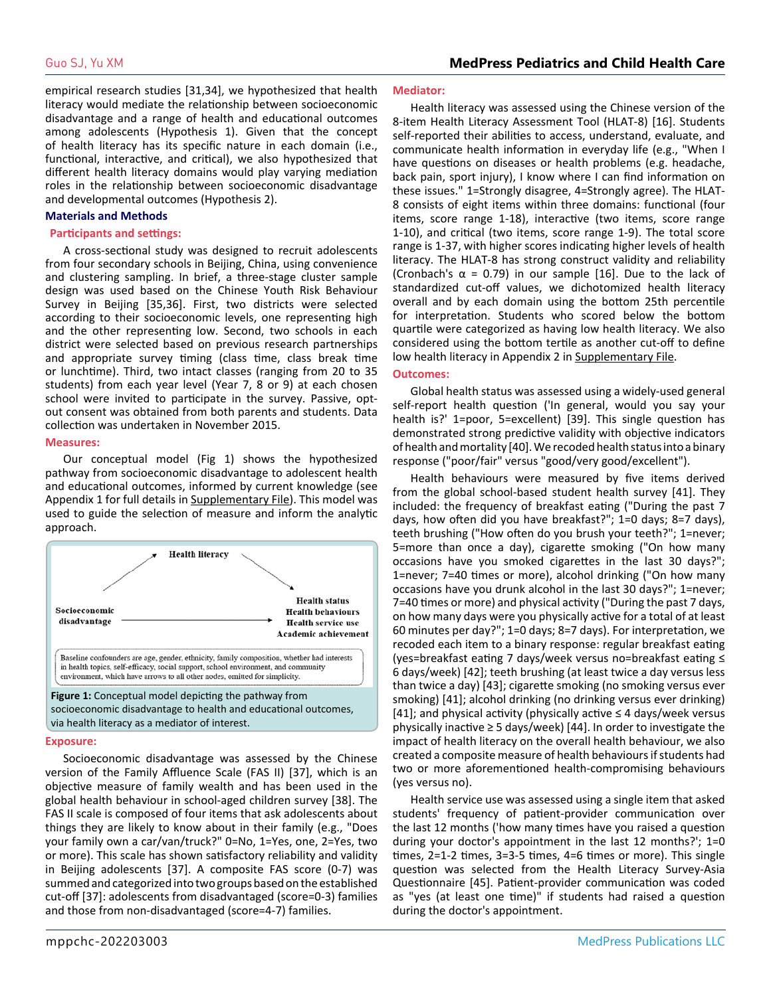empirical research studies [31,34], we hypothesized that health literacy would mediate the relationship between socioeconomic disadvantage and a range of health and educational outcomes among adolescents (Hypothesis 1). Given that the concept of health literacy has its specific nature in each domain (i.e., functional, interactive, and critical), we also hypothesized that different health literacy domains would play varying mediation roles in the relationship between socioeconomic disadvantage and developmental outcomes (Hypothesis 2).

#### **Materials and Methods**

#### **Participants and settings:**

A cross-sectional study was designed to recruit adolescents from four secondary schools in Beijing, China, using convenience and clustering sampling. In brief, a three-stage cluster sample design was used based on the Chinese Youth Risk Behaviour Survey in Beijing [35,36]. First, two districts were selected according to their socioeconomic levels, one representing high and the other representing low. Second, two schools in each district were selected based on previous research partnerships and appropriate survey timing (class time, class break time or lunchtime). Third, two intact classes (ranging from 20 to 35 students) from each year level (Year 7, 8 or 9) at each chosen school were invited to participate in the survey. Passive, optout consent was obtained from both parents and students. Data collection was undertaken in November 2015.

#### **Measures:**

Our conceptual model (Fig 1) shows the hypothesized pathway from socioeconomic disadvantage to adolescent health and educational outcomes, informed by current knowledge (see Appendix 1 for full details in [Supplementary File\)](https://medpresspublications.com/articles/mppchc/mppchc-202203003-Supplementary-file.pdf). This model was used to guide the selection of measure and inform the analytic approach.



#### **Exposure:**

Socioeconomic disadvantage was assessed by the Chinese version of the Family Affluence Scale (FAS II) [37], which is an objective measure of family wealth and has been used in the global health behaviour in school-aged children survey [38]. The FAS II scale is composed of four items that ask adolescents about things they are likely to know about in their family (e.g., "Does your family own a car/van/truck?" 0=No, 1=Yes, one, 2=Yes, two or more). This scale has shown satisfactory reliability and validity in Beijing adolescents [37]. A composite FAS score (0-7) was summed and categorized into two groups based on the established cut-off [37]: adolescents from disadvantaged (score=0-3) families and those from non-disadvantaged (score=4-7) families.

#### **Mediator:**

Health literacy was assessed using the Chinese version of the 8-item Health Literacy Assessment Tool (HLAT-8) [16]. Students self-reported their abilities to access, understand, evaluate, and communicate health information in everyday life (e.g., "When I have questions on diseases or health problems (e.g. headache, back pain, sport injury), I know where I can find information on these issues." 1=Strongly disagree, 4=Strongly agree). The HLAT-8 consists of eight items within three domains: functional (four items, score range 1-18), interactive (two items, score range 1-10), and critical (two items, score range 1-9). The total score range is 1-37, with higher scores indicating higher levels of health literacy. The HLAT-8 has strong construct validity and reliability (Cronbach's  $\alpha$  = 0.79) in our sample [16]. Due to the lack of standardized cut-off values, we dichotomized health literacy overall and by each domain using the bottom 25th percentile for interpretation. Students who scored below the bottom quartile were categorized as having low health literacy. We also considered using the bottom tertile as another cut-off to define low health literacy in Appendix 2 in [Supplementary File](https://medpresspublications.com/articles/mppchc/mppchc-202203003-Supplementary-file.pdf).

#### **Outcomes:**

Global health status was assessed using a widely-used general self-report health question ('In general, would you say your health is?' 1=poor, 5=excellent) [39]. This single question has demonstrated strong predictive validity with objective indicators of health and mortality [40]. We recoded health status into a binary response ("poor/fair" versus "good/very good/excellent").

Health behaviours were measured by five items derived from the global school-based student health survey [41]. They included: the frequency of breakfast eating ("During the past 7 days, how often did you have breakfast?"; 1=0 days; 8=7 days), teeth brushing ("How often do you brush your teeth?"; 1=never; 5=more than once a day), cigarette smoking ("On how many occasions have you smoked cigarettes in the last 30 days?"; 1=never; 7=40 times or more), alcohol drinking ("On how many occasions have you drunk alcohol in the last 30 days?"; 1=never; 7=40 times or more) and physical activity ("During the past 7 days, on how many days were you physically active for a total of at least 60 minutes per day?"; 1=0 days; 8=7 days). For interpretation, we recoded each item to a binary response: regular breakfast eating (yes=breakfast eating 7 days/week versus no=breakfast eating ≤ 6 days/week) [42]; teeth brushing (at least twice a day versus less than twice a day) [43]; cigarette smoking (no smoking versus ever smoking) [41]; alcohol drinking (no drinking versus ever drinking)  $[41]$ ; and physical activity (physically active  $\leq 4$  days/week versus physically inactive  $\geq$  5 days/week) [44]. In order to investigate the impact of health literacy on the overall health behaviour, we also created a composite measure of health behaviours if students had two or more aforementioned health-compromising behaviours (yes versus no).

Health service use was assessed using a single item that asked students' frequency of patient-provider communication over the last 12 months ('how many times have you raised a question during your doctor's appointment in the last 12 months?'; 1=0 times, 2=1-2 times, 3=3-5 times, 4=6 times or more). This single question was selected from the Health Literacy Survey-Asia Questionnaire [45]. Patient-provider communication was coded as "yes (at least one time)" if students had raised a question during the doctor's appointment.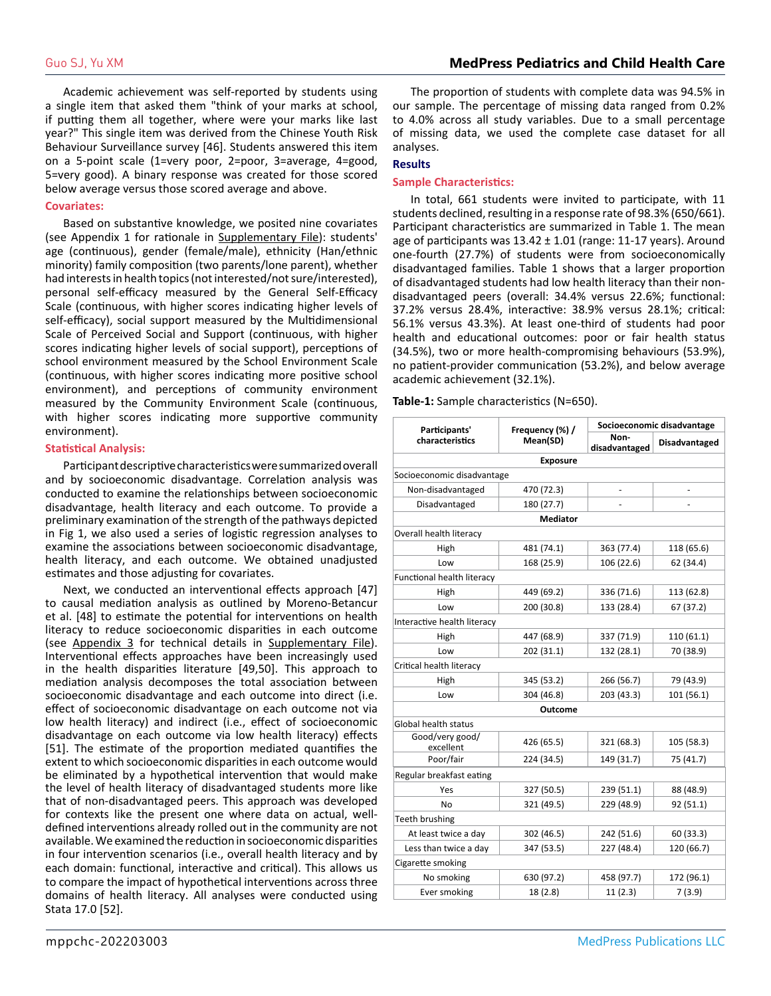Academic achievement was self-reported by students using a single item that asked them "think of your marks at school, if putting them all together, where were your marks like last year?" This single item was derived from the Chinese Youth Risk Behaviour Surveillance survey [46]. Students answered this item on a 5-point scale (1=very poor, 2=poor, 3=average, 4=good, 5=very good). A binary response was created for those scored below average versus those scored average and above.

#### **Covariates:**

Based on substantive knowledge, we posited nine covariates (see Appendix 1 for rationale in [Supplementary File](https://medpresspublications.com/articles/mppchc/mppchc-202203003-Supplementary-file.pdf)): students' age (continuous), gender (female/male), ethnicity (Han/ethnic minority) family composition (two parents/lone parent), whether had interests in health topics (not interested/not sure/interested), personal self-efficacy measured by the General Self-Efficacy Scale (continuous, with higher scores indicating higher levels of self-efficacy), social support measured by the Multidimensional Scale of Perceived Social and Support (continuous, with higher scores indicating higher levels of social support), perceptions of school environment measured by the School Environment Scale (continuous, with higher scores indicating more positive school environment), and perceptions of community environment measured by the Community Environment Scale (continuous, with higher scores indicating more supportive community environment).

#### **Statistical Analysis:**

Participant descriptive characteristics were summarized overall and by socioeconomic disadvantage. Correlation analysis was conducted to examine the relationships between socioeconomic disadvantage, health literacy and each outcome. To provide a preliminary examination of the strength of the pathways depicted in Fig 1, we also used a series of logistic regression analyses to examine the associations between socioeconomic disadvantage, health literacy, and each outcome. We obtained unadjusted estimates and those adjusting for covariates.

Next, we conducted an interventional effects approach [47] to causal mediation analysis as outlined by Moreno-Betancur et al. [48] to estimate the potential for interventions on health literacy to reduce socioeconomic disparities in each outcome (see Appendix 3 for technical details in [Supplementary File](https://medpresspublications.com/articles/mppchc/mppchc-202203003-Supplementary-file.pdf)). Interventional effects approaches have been increasingly used in the health disparities literature [49,50]. This approach to mediation analysis decomposes the total association between socioeconomic disadvantage and each outcome into direct (i.e. effect of socioeconomic disadvantage on each outcome not via low health literacy) and indirect (i.e., effect of socioeconomic disadvantage on each outcome via low health literacy) effects [51]. The estimate of the proportion mediated quantifies the extent to which socioeconomic disparities in each outcome would be eliminated by a hypothetical intervention that would make the level of health literacy of disadvantaged students more like that of non-disadvantaged peers. This approach was developed for contexts like the present one where data on actual, welldefined interventions already rolled out in the community are not available. We examined the reduction in socioeconomic disparities in four intervention scenarios (i.e., overall health literacy and by each domain: functional, interactive and critical). This allows us to compare the impact of hypothetical interventions across three domains of health literacy. All analyses were conducted using Stata 17.0 [52].

The proportion of students with complete data was 94.5% in our sample. The percentage of missing data ranged from 0.2% to 4.0% across all study variables. Due to a small percentage of missing data, we used the complete case dataset for all analyses.

#### **Results**

#### **Sample Characteristics:**

In total, 661 students were invited to participate, with 11 students declined, resulting in a response rate of 98.3% (650/661). Participant characteristics are summarized in Table 1. The mean age of participants was 13.42 ± 1.01 (range: 11-17 years). Around one-fourth (27.7%) of students were from socioeconomically disadvantaged families. Table 1 shows that a larger proportion of disadvantaged students had low health literacy than their nondisadvantaged peers (overall: 34.4% versus 22.6%; functional: 37.2% versus 28.4%, interactive: 38.9% versus 28.1%; critical: 56.1% versus 43.3%). At least one-third of students had poor health and educational outcomes: poor or fair health status (34.5%), two or more health-compromising behaviours (53.9%), no patient-provider communication (53.2%), and below average academic achievement (32.1%).

**Table-1:** Sample characteristics (N=650).

| Participants'                | Frequency (%) / | Socioeconomic disadvantage |                      |  |  |  |
|------------------------------|-----------------|----------------------------|----------------------|--|--|--|
| characteristics              | Mean(SD)        | Non-<br>disadvantaged      | <b>Disadvantaged</b> |  |  |  |
|                              | <b>Exposure</b> |                            |                      |  |  |  |
| Socioeconomic disadvantage   |                 |                            |                      |  |  |  |
| Non-disadvantaged            | 470 (72.3)      |                            |                      |  |  |  |
| Disadvantaged                | 180 (27.7)      |                            |                      |  |  |  |
|                              | <b>Mediator</b> |                            |                      |  |  |  |
| Overall health literacy      |                 |                            |                      |  |  |  |
| High                         | 481 (74.1)      | 363 (77.4)                 | 118 (65.6)           |  |  |  |
| Low                          | 168 (25.9)      | 106 (22.6)                 | 62 (34.4)            |  |  |  |
| Functional health literacy   |                 |                            |                      |  |  |  |
| High                         | 449 (69.2)      | 336 (71.6)                 | 113 (62.8)           |  |  |  |
| Low                          | 200 (30.8)      | 133 (28.4)                 | 67 (37.2)            |  |  |  |
| Interactive health literacy  |                 |                            |                      |  |  |  |
| High                         | 447 (68.9)      | 337 (71.9)                 | 110 (61.1)           |  |  |  |
| Low                          | 202 (31.1)      | 132 (28.1)                 | 70 (38.9)            |  |  |  |
| Critical health literacy     |                 |                            |                      |  |  |  |
| High                         | 345 (53.2)      | 266 (56.7)                 |                      |  |  |  |
| Low                          | 304 (46.8)      | 203 (43.3)                 | 101 (56.1)           |  |  |  |
|                              | Outcome         |                            |                      |  |  |  |
| <b>Global health status</b>  |                 |                            |                      |  |  |  |
| Good/very good/<br>excellent | 426 (65.5)      | 321 (68.3)                 | 105 (58.3)           |  |  |  |
| Poor/fair                    | 224 (34.5)      | 149 (31.7)                 | 75 (41.7)            |  |  |  |
| Regular breakfast eating     |                 |                            |                      |  |  |  |
| Yes                          | 327 (50.5)      | 239 (51.1)                 | 88 (48.9)            |  |  |  |
| No                           | 321 (49.5)      | 229 (48.9)                 | 92 (51.1)            |  |  |  |
| Teeth brushing               |                 |                            |                      |  |  |  |
| At least twice a day         | 302 (46.5)      | 242 (51.6)                 | 60 (33.3)            |  |  |  |
| Less than twice a day        | 347 (53.5)      | 227 (48.4)                 | 120 (66.7)           |  |  |  |
| Cigarette smoking            |                 |                            |                      |  |  |  |
| No smoking                   | 630 (97.2)      | 458 (97.7)                 | 172 (96.1)           |  |  |  |
| Ever smoking                 | 18 (2.8)        | 11 (2.3)                   | 7(3.9)               |  |  |  |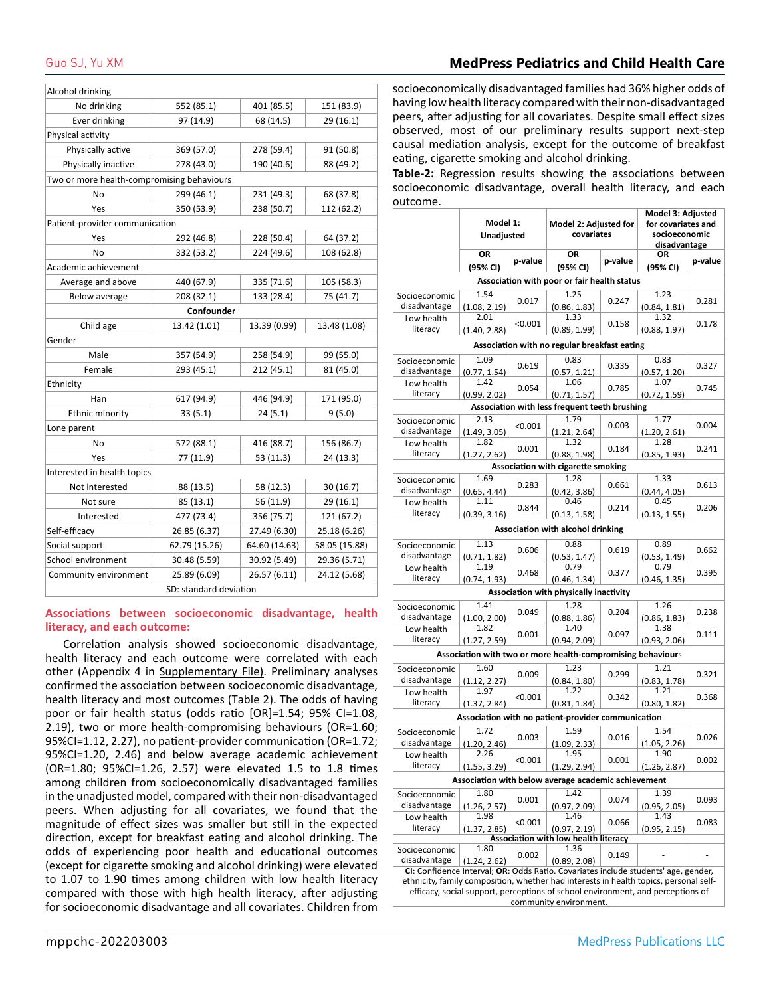# Guo SJ, Yu XM **MedPress Pediatrics and Child Health Care**

| Alcohol drinking                           |               |               |               |  |  |  |  |  |
|--------------------------------------------|---------------|---------------|---------------|--|--|--|--|--|
| No drinking                                | 552 (85.1)    | 401 (85.5)    | 151 (83.9)    |  |  |  |  |  |
| Ever drinking                              | 97 (14.9)     | 68 (14.5)     | 29 (16.1)     |  |  |  |  |  |
| Physical activity                          |               |               |               |  |  |  |  |  |
| Physically active                          | 369 (57.0)    | 278 (59.4)    | 91 (50.8)     |  |  |  |  |  |
| Physically inactive                        | 278 (43.0)    | 190 (40.6)    | 88 (49.2)     |  |  |  |  |  |
| Two or more health-compromising behaviours |               |               |               |  |  |  |  |  |
| No                                         | 299 (46.1)    | 231 (49.3)    | 68 (37.8)     |  |  |  |  |  |
| Yes                                        | 350 (53.9)    | 238 (50.7)    | 112 (62.2)    |  |  |  |  |  |
| Patient-provider communication             |               |               |               |  |  |  |  |  |
| Yes                                        | 292 (46.8)    | 228 (50.4)    | 64 (37.2)     |  |  |  |  |  |
| No                                         | 332 (53.2)    | 224 (49.6)    | 108 (62.8)    |  |  |  |  |  |
| Academic achievement                       |               |               |               |  |  |  |  |  |
| Average and above                          | 440 (67.9)    | 335 (71.6)    | 105 (58.3)    |  |  |  |  |  |
| Below average                              | 208 (32.1)    | 133 (28.4)    | 75 (41.7)     |  |  |  |  |  |
|                                            | Confounder    |               |               |  |  |  |  |  |
| Child age                                  | 13.42 (1.01)  | 13.39 (0.99)  | 13.48 (1.08)  |  |  |  |  |  |
| Gender                                     |               |               |               |  |  |  |  |  |
| Male                                       | 357 (54.9)    | 258 (54.9)    | 99 (55.0)     |  |  |  |  |  |
| Female                                     | 293 (45.1)    | 212 (45.1)    | 81 (45.0)     |  |  |  |  |  |
| Ethnicity                                  |               |               |               |  |  |  |  |  |
| Han                                        | 617 (94.9)    | 446 (94.9)    | 171 (95.0)    |  |  |  |  |  |
| Ethnic minority                            | 33(5.1)       | 24(5.1)       | 9(5.0)        |  |  |  |  |  |
| Lone parent                                |               |               |               |  |  |  |  |  |
| No                                         | 572 (88.1)    | 416 (88.7)    | 156 (86.7)    |  |  |  |  |  |
| Yes                                        | 77 (11.9)     | 53 (11.3)     | 24 (13.3)     |  |  |  |  |  |
| Interested in health topics                |               |               |               |  |  |  |  |  |
| Not interested                             | 88 (13.5)     | 58 (12.3)     | 30(16.7)      |  |  |  |  |  |
| Not sure                                   | 85 (13.1)     | 56 (11.9)     | 29 (16.1)     |  |  |  |  |  |
| Interested                                 | 477 (73.4)    | 356 (75.7)    | 121 (67.2)    |  |  |  |  |  |
| Self-efficacy                              | 26.85 (6.37)  | 27.49 (6.30)  | 25.18 (6.26)  |  |  |  |  |  |
| Social support                             | 62.79 (15.26) | 64.60 (14.63) | 58.05 (15.88) |  |  |  |  |  |
| School environment                         | 30.48 (5.59)  | 30.92 (5.49)  | 29.36 (5.71)  |  |  |  |  |  |
| Community environment                      | 25.89 (6.09)  | 26.57 (6.11)  | 24.12 (5.68)  |  |  |  |  |  |
| SD: standard deviation                     |               |               |               |  |  |  |  |  |

#### **Associations between socioeconomic disadvantage, health literacy, and each outcome:**

Correlation analysis showed socioeconomic disadvantage, health literacy and each outcome were correlated with each other (Appendix 4 in [Supplementary File](https://medpresspublications.com/articles/mppchc/mppchc-202203003-Supplementary-file.pdf)). Preliminary analyses confirmed the association between socioeconomic disadvantage, health literacy and most outcomes (Table 2). The odds of having poor or fair health status (odds ratio [OR]=1.54; 95% CI=1.08, 2.19), two or more health-compromising behaviours (OR=1.60; 95%CI=1.12, 2.27), no patient-provider communication (OR=1.72; 95%CI=1.20, 2.46) and below average academic achievement (OR=1.80; 95%CI=1.26, 2.57) were elevated 1.5 to 1.8 times among children from socioeconomically disadvantaged families in the unadjusted model, compared with their non-disadvantaged peers. When adjusting for all covariates, we found that the magnitude of effect sizes was smaller but still in the expected direction, except for breakfast eating and alcohol drinking. The odds of experiencing poor health and educational outcomes (except for cigarette smoking and alcohol drinking) were elevated to 1.07 to 1.90 times among children with low health literacy compared with those with high health literacy, after adjusting for socioeconomic disadvantage and all covariates. Children from

socioeconomically disadvantaged families had 36% higher odds of having low health literacy compared with their non-disadvantaged peers, after adjusting for all covariates. Despite small effect sizes observed, most of our preliminary results support next-step causal mediation analysis, except for the outcome of breakfast eating, cigarette smoking and alcohol drinking.

**Table-2:** Regression results showing the associations between socioeconomic disadvantage, overall health literacy, and each outcome.

| outcome.                                                                                                  | Model 1:<br>Unadjusted |         | Model 2: Adjusted for<br>covariates                           |         | Model 3: Adjusted<br>for covariates and<br>socioeconomic<br>disadvantage |         |  |  |  |  |
|-----------------------------------------------------------------------------------------------------------|------------------------|---------|---------------------------------------------------------------|---------|--------------------------------------------------------------------------|---------|--|--|--|--|
|                                                                                                           | OR<br>(95% CI)         | p-value | OR<br>(95% CI)                                                | p-value | ΟR<br>(95% CI)                                                           | p-value |  |  |  |  |
|                                                                                                           |                        |         | Association with poor or fair health status                   |         |                                                                          |         |  |  |  |  |
| Socioeconomic<br>disadvantage                                                                             | 1.54<br>(1.08, 2.19)   | 0.017   | 1.25<br>(0.86, 1.83)                                          | 0.247   | 1.23<br>(0.84, 1.81)                                                     | 0.281   |  |  |  |  |
| Low health<br>literacy                                                                                    | 2.01<br>(1.40, 2.88)   | < 0.001 | 1.33<br>(0.89, 1.99)                                          | 0.158   | 1.32<br>(0.88, 1.97)                                                     | 0.178   |  |  |  |  |
| Association with no regular breakfast eating                                                              |                        |         |                                                               |         |                                                                          |         |  |  |  |  |
|                                                                                                           | 1.09                   |         | 0.83                                                          |         | 0.83                                                                     |         |  |  |  |  |
| Socioeconomic<br>disadvantage                                                                             | (0.77, 1.54)           | 0.619   | (0.57, 1.21)                                                  | 0.335   | (0.57, 1.20)                                                             | 0.327   |  |  |  |  |
| Low health<br>literacy                                                                                    | 1.42                   | 0.054   | 1.06                                                          | 0.785   | 1.07                                                                     | 0.745   |  |  |  |  |
|                                                                                                           | (0.99, 2.02)           |         | (0.71, 1.57)<br>Association with less frequent teeth brushing |         | (0.72, 1.59)                                                             |         |  |  |  |  |
|                                                                                                           | 2.13                   |         | 1.79                                                          |         | 1.77                                                                     |         |  |  |  |  |
| Socioeconomic<br>disadvantage                                                                             | (1.49, 3.05)           | < 0.001 | (1.21, 2.64)                                                  | 0.003   | (1.20, 2.61)                                                             | 0.004   |  |  |  |  |
| Low health                                                                                                | 1.82                   |         | 1.32                                                          |         | 1.28                                                                     |         |  |  |  |  |
| literacy                                                                                                  | (1.27, 2.62)           | 0.001   | (0.88, 1.98)                                                  | 0.184   | (0.85, 1.93)                                                             | 0.241   |  |  |  |  |
| Association with cigarette smoking                                                                        |                        |         |                                                               |         |                                                                          |         |  |  |  |  |
| Socioeconomic                                                                                             | 1.69                   | 0.283   | 1.28                                                          | 0.661   | 1.33                                                                     | 0.613   |  |  |  |  |
| disadvantage                                                                                              | (0.65, 4.44)           |         | (0.42, 3.86)                                                  |         | (0.44, 4.05)                                                             |         |  |  |  |  |
| Low health<br>literacy                                                                                    | 1.11                   | 0.844   | 0.46                                                          | 0.214   | 0.45                                                                     | 0.206   |  |  |  |  |
|                                                                                                           | (0.39, 3.16)           |         | (0.13, 1.58)                                                  |         | (0.13, 1.55)                                                             |         |  |  |  |  |
|                                                                                                           |                        |         | Association with alcohol drinking                             |         |                                                                          |         |  |  |  |  |
| Socioeconomic                                                                                             | 1.13                   | 0.606   | 0.88                                                          | 0.619   | 0.89                                                                     | 0.662   |  |  |  |  |
| disadvantage<br>Low health                                                                                | (0.71, 1.82)<br>1.19   |         | (0.53, 1.47)<br>0.79                                          |         | (0.53, 1.49)<br>0.79                                                     |         |  |  |  |  |
| literacy                                                                                                  | (0.74, 1.93)           | 0.468   | (0.46, 1.34)                                                  | 0.377   | (0.46, 1.35)                                                             | 0.395   |  |  |  |  |
|                                                                                                           |                        |         | Association with physically inactivity                        |         |                                                                          |         |  |  |  |  |
| Socioeconomic                                                                                             | 1.41                   |         | 1.28                                                          |         | 1.26                                                                     |         |  |  |  |  |
| disadvantage                                                                                              | (1.00, 2.00)           | 0.049   | (0.88, 1.86)                                                  | 0.204   | (0.86, 1.83)                                                             | 0.238   |  |  |  |  |
| Low health                                                                                                | 1.82                   | 0.001   | 1.40                                                          | 0.097   | 1.38                                                                     | 0.111   |  |  |  |  |
| literacy                                                                                                  | (1.27, 2.59)           |         | (0.94, 2.09)                                                  |         |                                                                          |         |  |  |  |  |
|                                                                                                           |                        |         | Association with two or more health-compromising behaviours   |         |                                                                          |         |  |  |  |  |
| Socioeconomic                                                                                             | 1.60                   | 0.009   | 1.23                                                          | 0.299   | 1.21                                                                     | 0.321   |  |  |  |  |
| disadvantage                                                                                              | (1.12, 2.27)<br>1.97   |         | (0.84, 1.80)<br>1.22                                          |         | (0.83, 1.78)<br>1.21                                                     |         |  |  |  |  |
| Low health<br>literacy                                                                                    | (1.37, 2.84)           | < 0.001 | (0.81, 1.84)                                                  | 0.342   | (0.80, 1.82)                                                             | 0.368   |  |  |  |  |
|                                                                                                           |                        |         | Association with no patient-provider communication            |         |                                                                          |         |  |  |  |  |
|                                                                                                           | 1.72                   |         | 1.59                                                          |         | 1.54                                                                     |         |  |  |  |  |
| Socioeconomic<br>disadvantage                                                                             | (1.20, 2.46)           | 0.003   | (1.09, 2.33)                                                  | 0.016   | (1.05, 2.26)                                                             | 0.026   |  |  |  |  |
| Low health                                                                                                | 2.26                   |         | 1.95                                                          |         | 1.90                                                                     |         |  |  |  |  |
| literacy                                                                                                  | (1.55, 3.29)           | < 0.001 | (1.29, 2.94)                                                  | 0.001   | (1.26, 2.87)                                                             | 0.002   |  |  |  |  |
|                                                                                                           |                        |         | Association with below average academic achievement           |         |                                                                          |         |  |  |  |  |
| Socioeconomic                                                                                             | 1.80                   |         | 1.42                                                          |         | 1.39                                                                     |         |  |  |  |  |
| disadvantage                                                                                              | (1.26, 2.57)           | 0.001   | (0.97, 2.09)                                                  | 0.074   | (0.95, 2.05)                                                             | 0.093   |  |  |  |  |
| Low health                                                                                                | 1.98                   | < 0.001 | 1.46                                                          | 0.066   | 1.43                                                                     | 0.083   |  |  |  |  |
| literacy                                                                                                  | (1.37, 2.85)           |         | (0.97, 2.19)                                                  |         | (0.95, 2.15)                                                             |         |  |  |  |  |
| Socioeconomic                                                                                             | 1.80                   |         | Association with low health literacy<br>1.36                  |         |                                                                          |         |  |  |  |  |
| disadvantage                                                                                              | (1.24, 2.62)           | 0.002   | (0.89, 2.08)                                                  | 0.149   |                                                                          |         |  |  |  |  |
| CI: Confidence Interval; OR: Odds Ratio. Covariates include students' age, gender,                        |                        |         |                                                               |         |                                                                          |         |  |  |  |  |
| ethnicity, family composition, whether had interests in health topics, personal self-                     |                        |         |                                                               |         |                                                                          |         |  |  |  |  |
| efficacy, social support, perceptions of school environment, and perceptions of<br>community environment. |                        |         |                                                               |         |                                                                          |         |  |  |  |  |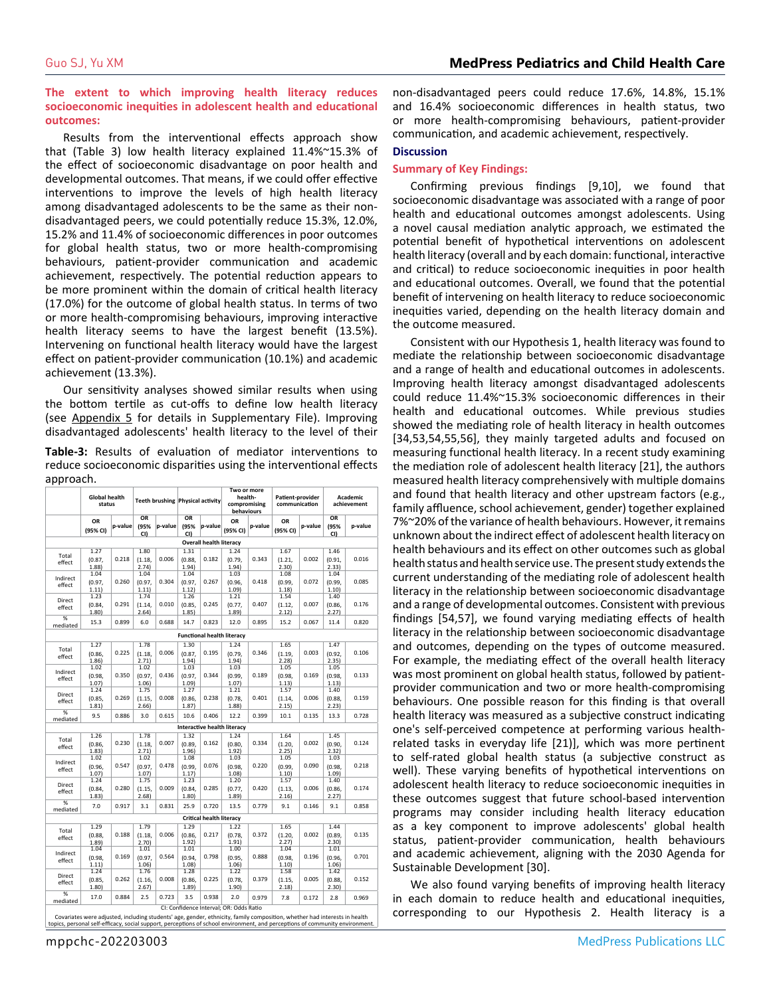**The extent to which improving health literacy reduces socioeconomic inequities in adolescent health and educational outcomes:**

Results from the interventional effects approach show that (Table 3) low health literacy explained 11.4%~15.3% of the effect of socioeconomic disadvantage on poor health and developmental outcomes. That means, if we could offer effective interventions to improve the levels of high health literacy among disadvantaged adolescents to be the same as their nondisadvantaged peers, we could potentially reduce 15.3%, 12.0%, 15.2% and 11.4% of socioeconomic differences in poor outcomes for global health status, two or more health-compromising behaviours, patient-provider communication and academic achievement, respectively. The potential reduction appears to be more prominent within the domain of critical health literacy (17.0%) for the outcome of global health status. In terms of two or more health-compromising behaviours, improving interactive health literacy seems to have the largest benefit (13.5%). Intervening on functional health literacy would have the largest effect on patient-provider communication (10.1%) and academic achievement (13.3%).

Our sensitivity analyses showed similar results when using the bottom tertile as cut-offs to define low health literacy (see Appendix 5 for details in [Supplementary File\)](https://medpresspublications.com/articles/mppchc/mppchc-202203003-Supplementary-file.pdf). Improving disadvantaged adolescents' health literacy to the level of their

**Table-3:** Results of evaluation of mediator interventions to reduce socioeconomic disparities using the interventional effects approach.

|                           | <b>Global health</b><br>status |         |                 |         | <b>Teeth brushing Physical activity</b> |                                | Two or more<br>health-<br>compromising<br>behaviours |         | Patient-provider<br>communication |         | Academic<br>achievement |         |
|---------------------------|--------------------------------|---------|-----------------|---------|-----------------------------------------|--------------------------------|------------------------------------------------------|---------|-----------------------------------|---------|-------------------------|---------|
|                           | OR                             | p-value | OR<br>(95%      | p-value | OR<br>(95%                              | p-value                        | ΟR                                                   | p-value | OR                                | p-value | OR<br>(95%              | p-value |
|                           | (95% CI)                       |         | CI)             |         | CI)                                     |                                | (95% CI)                                             |         | (95% CI)                          |         | CI)                     |         |
|                           |                                |         |                 |         |                                         | <b>Overall health literacy</b> |                                                      |         |                                   |         |                         |         |
| Total                     | 1.27<br>(0.87,                 | 0.218   | 1.80<br>(1.18,  | 0.006   | 1.31<br>(0.88,                          | 0.182                          | 1.24<br>(0.79,                                       | 0.343   | 1.67<br>(1.21,                    | 0.002   | 1.46<br>(0.91,          | 0.016   |
| effect                    | 1.88                           |         | 2.74            |         | 1.94)                                   |                                | 1.94)                                                |         | 2.301                             |         | 2.33                    |         |
|                           | 1.04                           |         | 1.04            |         | 1.04                                    |                                | 1.03                                                 |         | 1.08                              |         | 1.04                    |         |
| Indirect<br>effect        | (0.97.                         | 0.260   | (0.97,          | 0.304   | (0.97,                                  | 0.267                          | (0.96.                                               | 0.418   | (0.99.                            | 0.072   | (0.99.                  | 0.085   |
|                           | 1.11)                          |         | 1.11)           |         | 1.12)                                   |                                | 1.09                                                 |         | 1.18                              |         | 1.10                    |         |
| Direct                    | 1.23                           |         | 1.74            |         | 1.26                                    |                                | 1.21                                                 |         | 1.54                              |         | 1.40                    |         |
| effect<br>$\overline{\%}$ | (0.84,<br>1.80)                | 0.291   | (1.14.<br>2.64) | 0.010   | (0.85,<br>1.85)                         | 0.245                          | (0.77.<br>1.89)                                      | 0.407   | (1.12.<br>2.12)                   | 0.007   | (0.86,<br>2.27          | 0.176   |
| mediated                  | 15.3                           | 0.899   | 6.0             | 0.688   | 14.7                                    | 0.823                          | 12.0                                                 | 0.895   | 15.2                              | 0.067   | 11.4                    | 0.820   |
|                           |                                |         |                 |         |                                         |                                | <b>Functional health literacy</b>                    |         |                                   |         |                         |         |
|                           | 1.27                           |         | 1.78            |         | 1.30                                    |                                | 1.24                                                 |         | 1.65                              |         | 1.47                    |         |
| Total                     | (0.86,                         | 0.225   | (1.18,          | 0.006   | (0.87,                                  | 0.195                          | (0.79.                                               | 0.346   | (1.19,                            | 0.003   | (0.92,                  | 0.106   |
| effect                    | 1.86)                          |         | 2.71)           |         | 1.94)                                   |                                | 1.94)                                                |         | 2.28                              |         | 2.35)                   |         |
| Indirect                  | 1.02                           |         | 1.02            |         | 1.03                                    |                                | 1.03                                                 |         | 1.05                              |         | 1.05                    |         |
| effect                    | (0.98,<br>1.07                 | 0.350   | (0.97,<br>1.06) | 0.436   | (0.97.<br>1.09                          | 0.344                          | (0.99,<br>1.07                                       | 0.189   | (0.98,<br>1.13)                   | 0.169   | (0.98,<br>1.13)         | 0.133   |
| Direct                    | 1.24                           |         | 1.75            |         | 1.27                                    |                                | 1.21                                                 |         | 1.57                              |         | 1.40                    |         |
| effect                    | (0.85,<br>1.81)                | 0.269   | (1.15,<br>2.66) | 0.008   | (0.86,<br>1.87                          | 0.238                          | (0.78,<br>1.88                                       | 0.401   | (1.14,<br>2.15)                   | 0.006   | (0.88,<br>2.23)         | 0.159   |
| %<br>mediated             | 9.5                            | 0.886   | 3.0             | 0.615   | 10.6                                    | 0.406                          | 12.2                                                 | 0.399   | 10.1                              | 0.135   | 13.3                    | 0.728   |
|                           |                                |         |                 |         |                                         |                                | <b>Interactive health literacy</b>                   |         |                                   |         |                         |         |
| Total                     | 1.26                           |         | 1.78            |         | 1.32                                    |                                | 1.24                                                 |         | 1.64                              |         | 1.45                    |         |
| effect                    | (0.86.                         | 0.230   | (1.18,          | 0.007   | (0.89.                                  | 0.162                          | (0.80.                                               | 0.334   | (1.20,                            | 0.002   | (0.90.                  | 0.124   |
|                           | 1.83)<br>1.02                  |         | 2.71)<br>1.02   |         | 1.96)<br>1.08                           |                                | 1.92)<br>1.03                                        |         | 2.25)<br>1.05                     |         | 2.32)<br>1.03           |         |
| Indirect                  |                                | 0.547   |                 | 0.478   |                                         | 0.076                          |                                                      | 0.220   |                                   | 0.090   |                         | 0.218   |
| effect                    | (0.96,<br>1.07)                |         | (0.97,<br>1.07) |         | (0.99,<br>1.17)                         |                                | (0.98,<br>1.08                                       |         | (0.99,<br>1.10)                   |         | (0.98,<br>1.09)         |         |
|                           | 1.24                           |         | 1.75            |         | 1.23                                    |                                | 1.20                                                 |         | 1.57                              |         | 1.40                    |         |
| Direct<br>effect          | (0.84,<br>1.83)                | 0.280   | (1.15,<br>2.68) | 0.009   | (0.84,<br>1.80)                         | 0.285                          | (0.77,<br>1.89)                                      | 0.420   | (1.13,<br>2.16)                   | 0.006   | (0.86,<br>2.27          | 0.174   |
| %<br>mediated             | 7.0                            | 0.917   | 3.1             | 0.831   | 25.9                                    | 0.720                          | 13.5                                                 | 0.779   | 9.1                               | 0.146   | 9.1                     | 0.858   |
|                           |                                |         |                 |         |                                         | Critical health literacy       |                                                      |         |                                   |         |                         |         |
|                           | 1.29                           |         | 1.79            |         | 1.29                                    |                                | 1.22                                                 |         | 1.65                              |         | 1.44                    |         |
| Total<br>effect           | (0.88,<br>1.89)                | 0.188   | (1.18,<br>2.70) | 0.006   | (0.86,<br>1.92)                         | 0.217                          | (0.78,<br>1.91)                                      | 0.372   | (1.20,<br>2.27)                   | 0.002   | (0.89,<br>2.30)         | 0.135   |
| Indirect                  | 1.04                           |         | 1.01            |         | 1.01                                    |                                | 1.00                                                 |         | 1.04                              |         | 1.01                    |         |
| effect                    | (0.98,                         | 0.169   | (0.97,          | 0.564   | (0.94,                                  | 0.798                          | (0.95,                                               | 0.888   | (0.98,                            | 0.196   | (0.96,                  | 0.701   |
|                           | 1.11)                          |         | 1.06            |         | 1.08                                    |                                | 1.06                                                 |         | 1.10)                             |         | 1.06)                   |         |
| 1.24<br>Direct            |                                | 1.76    | 0.008           | 1.28    |                                         | 1.22                           | 0.379                                                | 1.58    |                                   | 1.42    | 0.152                   |         |
| effect                    | (0.85,<br>1.80)                | 0.262   | (1.16,<br>2.67) |         | (0.86,<br>1.89)                         | 0.225                          | (0.78,<br>1.90)                                      |         | (1.15,<br>2.18)                   | 0.005   | (0.88,<br>2.30)         |         |
| %<br>mediated             | 17.0                           | 0.884   | 2.5             | 0.723   | 3.5                                     | 0.938                          | 2.0<br>CI: Confidence Interval; OR: Odds Ratio       | 0.979   | 7.8                               | 0.172   | 2.8                     | 0.969   |

non-disadvantaged peers could reduce 17.6%, 14.8%, 15.1% and 16.4% socioeconomic differences in health status, two or more health-compromising behaviours, patient-provider communication, and academic achievement, respectively.

#### **Discussion**

#### **Summary of Key Findings:**

Confirming previous findings [9,10], we found that socioeconomic disadvantage was associated with a range of poor health and educational outcomes amongst adolescents. Using a novel causal mediation analytic approach, we estimated the potential benefit of hypothetical interventions on adolescent health literacy (overall and by each domain: functional, interactive and critical) to reduce socioeconomic inequities in poor health and educational outcomes. Overall, we found that the potential benefit of intervening on health literacy to reduce socioeconomic inequities varied, depending on the health literacy domain and the outcome measured.

Consistent with our Hypothesis 1, health literacy was found to mediate the relationship between socioeconomic disadvantage and a range of health and educational outcomes in adolescents. Improving health literacy amongst disadvantaged adolescents could reduce 11.4%~15.3% socioeconomic differences in their health and educational outcomes. While previous studies showed the mediating role of health literacy in health outcomes [34,53,54,55,56], they mainly targeted adults and focused on measuring functional health literacy. In a recent study examining the mediation role of adolescent health literacy [21], the authors measured health literacy comprehensively with multiple domains and found that health literacy and other upstream factors (e.g., family affluence, school achievement, gender) together explained 7%~20% of the variance of health behaviours. However, it remains unknown about the indirect effect of adolescent health literacy on health behaviours and its effect on other outcomes such as global health status and health service use. The present study extends the current understanding of the mediating role of adolescent health literacy in the relationship between socioeconomic disadvantage and a range of developmental outcomes. Consistent with previous findings [54,57], we found varying mediating effects of health literacy in the relationship between socioeconomic disadvantage and outcomes, depending on the types of outcome measured. For example, the mediating effect of the overall health literacy was most prominent on global health status, followed by patientprovider communication and two or more health-compromising behaviours. One possible reason for this finding is that overall health literacy was measured as a subjective construct indicating one's self-perceived competence at performing various healthrelated tasks in everyday life [21)], which was more pertinent to self-rated global health status (a subjective construct as well). These varying benefits of hypothetical interventions on adolescent health literacy to reduce socioeconomic inequities in these outcomes suggest that future school-based intervention programs may consider including health literacy education as a key component to improve adolescents' global health status, patient-provider communication, health behaviours and academic achievement, aligning with the 2030 Agenda for Sustainable Development [30].

We also found varying benefits of improving health literacy in each domain to reduce health and educational inequities, corresponding to our Hypothesis 2. Health literacy is a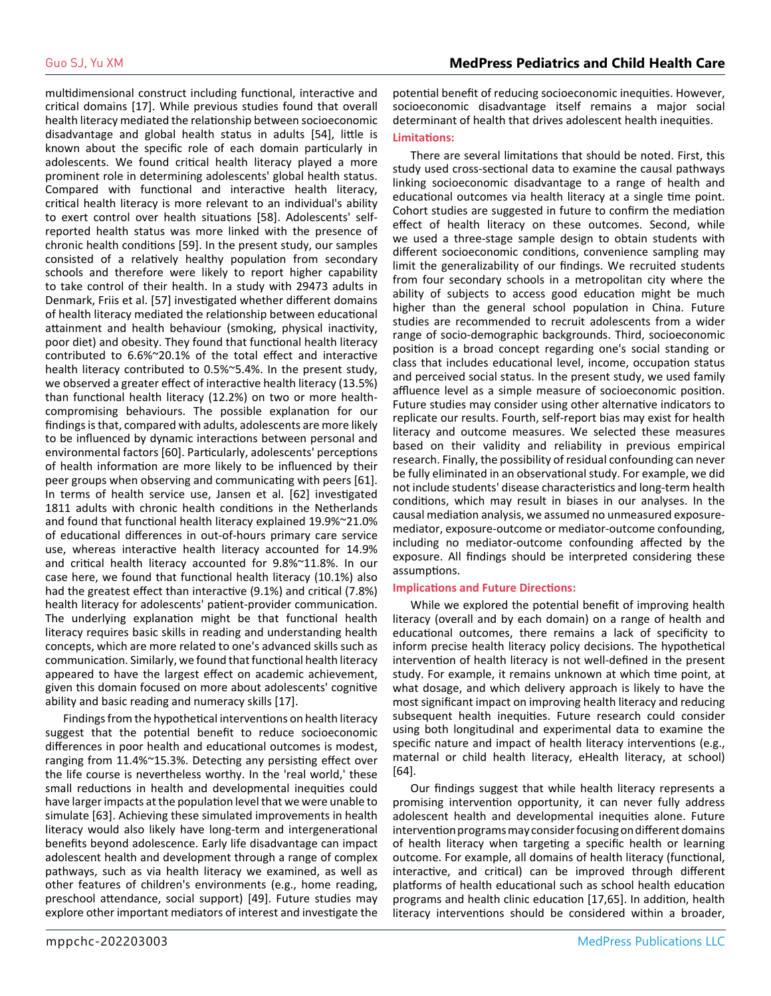multidimensional construct including functional, interactive and critical domains [17]. While previous studies found that overall health literacy mediated the relationship between socioeconomic disadvantage and global health status in adults [54], little is known about the specific role of each domain particularly in adolescents. We found critical health literacy played a more prominent role in determining adolescents' global health status. Compared with functional and interactive health literacy, critical health literacy is more relevant to an individual's ability to exert control over health situations [58]. Adolescents' selfreported health status was more linked with the presence of chronic health conditions [59]. In the present study, our samples consisted of a relatively healthy population from secondary schools and therefore were likely to report higher capability to take control of their health. In a study with 29473 adults in Denmark, Friis et al. [57] investigated whether different domains of health literacy mediated the relationship between educational attainment and health behaviour (smoking, physical inactivity, poor diet) and obesity. They found that functional health literacy contributed to 6.6%~20.1% of the total effect and interactive health literacy contributed to 0.5%~5.4%. In the present study, we observed a greater effect of interactive health literacy (13.5%) than functional health literacy (12.2%) on two or more healthcompromising behaviours. The possible explanation for our findings is that, compared with adults, adolescents are more likely to be influenced by dynamic interactions between personal and environmental factors [60]. Particularly, adolescents' perceptions of health information are more likely to be influenced by their peer groups when observing and communicating with peers [61]. In terms of health service use, Jansen et al. [62] investigated 1811 adults with chronic health conditions in the Netherlands and found that functional health literacy explained 19.9%~21.0% of educational differences in out-of-hours primary care service use, whereas interactive health literacy accounted for 14.9% and critical health literacy accounted for 9.8%~11.8%. In our case here, we found that functional health literacy (10.1%) also had the greatest effect than interactive (9.1%) and critical (7.8%) health literacy for adolescents' patient-provider communication. The underlying explanation might be that functional health literacy requires basic skills in reading and understanding health concepts, which are more related to one's advanced skills such as communication. Similarly, we found that functional health literacy appeared to have the largest effect on academic achievement, given this domain focused on more about adolescents' cognitive ability and basic reading and numeracy skills [17].

Findings from the hypothetical interventions on health literacy suggest that the potential benefit to reduce socioeconomic differences in poor health and educational outcomes is modest, ranging from 11.4%~15.3%. Detecting any persisting effect over the life course is nevertheless worthy. In the 'real world,' these small reductions in health and developmental inequities could have larger impacts at the population level that we were unable to simulate [63]. Achieving these simulated improvements in health literacy would also likely have long-term and intergenerational benefits beyond adolescence. Early life disadvantage can impact adolescent health and development through a range of complex pathways, such as via health literacy we examined, as well as other features of children's environments (e.g., home reading, preschool attendance, social support) [49]. Future studies may explore other important mediators of interest and investigate the

potential benefit of reducing socioeconomic inequities. However, socioeconomic disadvantage itself remains a major social determinant of health that drives adolescent health inequities.

#### **Limitations:**

There are several limitations that should be noted. First, this study used cross-sectional data to examine the causal pathways linking socioeconomic disadvantage to a range of health and educational outcomes via health literacy at a single time point. Cohort studies are suggested in future to confirm the mediation effect of health literacy on these outcomes. Second, while we used a three-stage sample design to obtain students with different socioeconomic conditions, convenience sampling may limit the generalizability of our findings. We recruited students from four secondary schools in a metropolitan city where the ability of subjects to access good education might be much higher than the general school population in China. Future studies are recommended to recruit adolescents from a wider range of socio-demographic backgrounds. Third, socioeconomic position is a broad concept regarding one's social standing or class that includes educational level, income, occupation status and perceived social status. In the present study, we used family affluence level as a simple measure of socioeconomic position. Future studies may consider using other alternative indicators to replicate our results. Fourth, self-report bias may exist for health literacy and outcome measures. We selected these measures based on their validity and reliability in previous empirical research. Finally, the possibility of residual confounding can never be fully eliminated in an observational study. For example, we did not include students' disease characteristics and long-term health conditions, which may result in biases in our analyses. In the causal mediation analysis, we assumed no unmeasured exposuremediator, exposure-outcome or mediator-outcome confounding, including no mediator-outcome confounding affected by the exposure. All findings should be interpreted considering these assumptions.

#### **Implications and Future Directions:**

While we explored the potential benefit of improving health literacy (overall and by each domain) on a range of health and educational outcomes, there remains a lack of specificity to inform precise health literacy policy decisions. The hypothetical intervention of health literacy is not well-defined in the present study. For example, it remains unknown at which time point, at what dosage, and which delivery approach is likely to have the most significant impact on improving health literacy and reducing subsequent health inequities. Future research could consider using both longitudinal and experimental data to examine the specific nature and impact of health literacy interventions (e.g., maternal or child health literacy, eHealth literacy, at school) [64].

Our findings suggest that while health literacy represents a promising intervention opportunity, it can never fully address adolescent health and developmental inequities alone. Future intervention programs may consider focusing on different domains of health literacy when targeting a specific health or learning outcome. For example, all domains of health literacy (functional, interactive, and critical) can be improved through different platforms of health educational such as school health education programs and health clinic education [17,65]. In addition, health literacy interventions should be considered within a broader,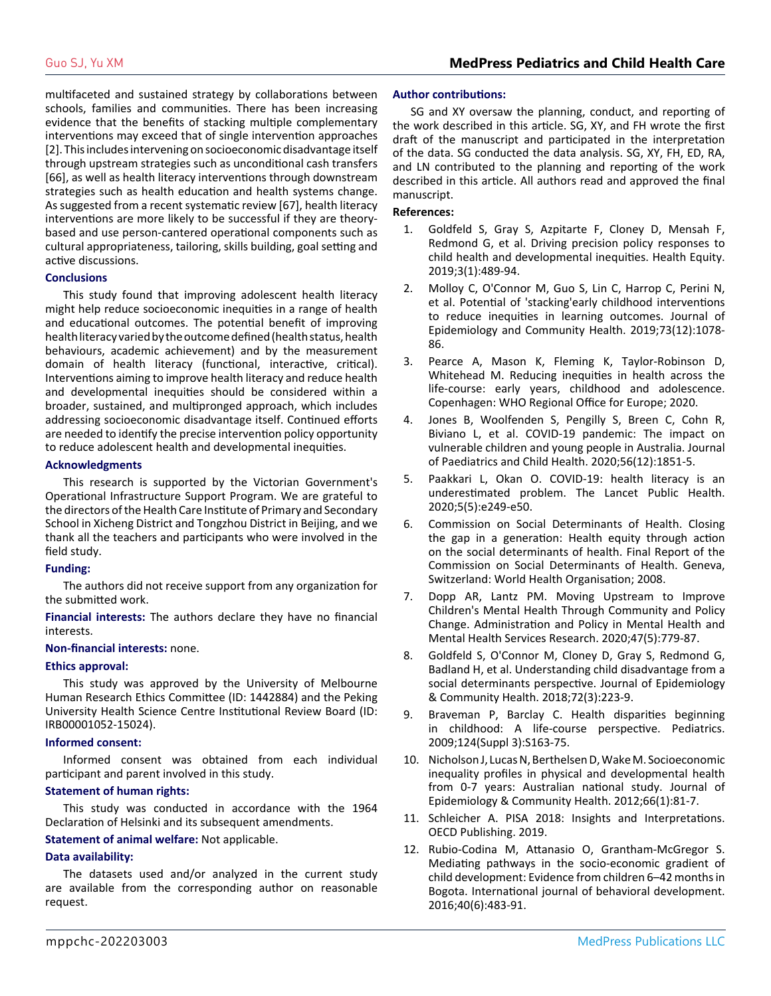multifaceted and sustained strategy by collaborations between schools, families and communities. There has been increasing evidence that the benefits of stacking multiple complementary interventions may exceed that of single intervention approaches [2]. This includes intervening on socioeconomic disadvantage itself through upstream strategies such as unconditional cash transfers [66], as well as health literacy interventions through downstream strategies such as health education and health systems change. As suggested from a recent systematic review [67], health literacy interventions are more likely to be successful if they are theorybased and use person-cantered operational components such as cultural appropriateness, tailoring, skills building, goal setting and active discussions.

#### **Conclusions**

This study found that improving adolescent health literacy might help reduce socioeconomic inequities in a range of health and educational outcomes. The potential benefit of improving health literacy varied by the outcome defined (health status, health behaviours, academic achievement) and by the measurement domain of health literacy (functional, interactive, critical). Interventions aiming to improve health literacy and reduce health and developmental inequities should be considered within a broader, sustained, and multipronged approach, which includes addressing socioeconomic disadvantage itself. Continued efforts are needed to identify the precise intervention policy opportunity to reduce adolescent health and developmental inequities.

#### **Acknowledgments**

This research is supported by the Victorian Government's Operational Infrastructure Support Program. We are grateful to the directors of the Health Care Institute of Primary and Secondary School in Xicheng District and Tongzhou District in Beijing, and we thank all the teachers and participants who were involved in the field study.

#### **Funding:**

The authors did not receive support from any organization for the submitted work.

**Financial interests:** The authors declare they have no financial interests.

#### **Non-financial interests:** none.

#### **Ethics approval:**

This study was approved by the University of Melbourne Human Research Ethics Committee (ID: 1442884) and the Peking University Health Science Centre Institutional Review Board (ID: IRB00001052-15024).

#### **Informed consent:**

Informed consent was obtained from each individual participant and parent involved in this study.

#### **Statement of human rights:**

This study was conducted in accordance with the 1964 Declaration of Helsinki and its subsequent amendments.

#### **Statement of animal welfare:** Not applicable.

#### **Data availability:**

The datasets used and/or analyzed in the current study are available from the corresponding author on reasonable request.

#### **Author contributions:**

SG and XY oversaw the planning, conduct, and reporting of the work described in this article. SG, XY, and FH wrote the first draft of the manuscript and participated in the interpretation of the data. SG conducted the data analysis. SG, XY, FH, ED, RA, and LN contributed to the planning and reporting of the work described in this article. All authors read and approved the final manuscript.

#### **References:**

- 1. [Goldfeld S, Gray S, Azpitarte F, Cloney D, Mensah F,](https://www.ncbi.nlm.nih.gov/pmc/articles/PMC6761592/) [Redmond G, et al. Driving precision policy responses to](https://www.ncbi.nlm.nih.gov/pmc/articles/PMC6761592/) [child health and developmental inequities. Health Equity.](https://www.ncbi.nlm.nih.gov/pmc/articles/PMC6761592/)  [2019;3\(1\):489-94.](https://www.ncbi.nlm.nih.gov/pmc/articles/PMC6761592/)
- 2. [Molloy C, O'Connor M, Guo S, Lin C, Harrop C, Perini N,](https://pubmed.ncbi.nlm.nih.gov/31586934/) [et al. Potential of 'stacking'early childhood interventions](https://pubmed.ncbi.nlm.nih.gov/31586934/)  [to reduce inequities in learning outcomes. Journal of](https://pubmed.ncbi.nlm.nih.gov/31586934/) [Epidemiology and Community Health. 2019;73\(12\):1078-](https://pubmed.ncbi.nlm.nih.gov/31586934/) [86.](https://pubmed.ncbi.nlm.nih.gov/31586934/)
- 3. [Pearce A, Mason K, Fleming K, Taylor-Robinson D,](https://www.euro.who.int/__data/assets/pdf_file/0008/457289/Reducing-inequities-in-health-across-the-life-course.pdf) [Whitehead M. Reducing inequities in health across the](https://www.euro.who.int/__data/assets/pdf_file/0008/457289/Reducing-inequities-in-health-across-the-life-course.pdf) [life-course: early years, childhood and adolescence.](https://www.euro.who.int/__data/assets/pdf_file/0008/457289/Reducing-inequities-in-health-across-the-life-course.pdf)  [Copenhagen: WHO Regional Office for Europe; 2020.](https://www.euro.who.int/__data/assets/pdf_file/0008/457289/Reducing-inequities-in-health-across-the-life-course.pdf)
- 4. [Jones B, Woolfenden S, Pengilly S, Breen C, Cohn R,](https://pubmed.ncbi.nlm.nih.gov/32931623/) [Biviano L, et al. COVID-19 pandemic: The impact on](https://pubmed.ncbi.nlm.nih.gov/32931623/)  [vulnerable children and young people in Australia. Journal](https://pubmed.ncbi.nlm.nih.gov/32931623/)  [of Paediatrics and Child Health. 2020;56\(12\):1851-5.](https://pubmed.ncbi.nlm.nih.gov/32931623/)
- 5. [Paakkari L, Okan O. COVID-19: health literacy is an](https://pubmed.ncbi.nlm.nih.gov/32302535/) [underestimated problem. The Lancet Public Health.](https://pubmed.ncbi.nlm.nih.gov/32302535/)  [2020;5\(5\):e249-e50.](https://pubmed.ncbi.nlm.nih.gov/32302535/)
- 6. [Commission on Social Determinants of Health. Closing](https://www.who.int/publications/i/item/WHO-IER-CSDH-08.1)  [the gap in a generation: Health equity through action](https://www.who.int/publications/i/item/WHO-IER-CSDH-08.1)  [on the social determinants of health. Final Report of the](https://www.who.int/publications/i/item/WHO-IER-CSDH-08.1) [Commission on Social Determinants of Health. Geneva,](https://www.who.int/publications/i/item/WHO-IER-CSDH-08.1) [Switzerland: World Health Organisation; 2008.](https://www.who.int/publications/i/item/WHO-IER-CSDH-08.1)
- 7. [Dopp AR, Lantz PM. Moving Upstream to Improve](https://pubmed.ncbi.nlm.nih.gov/31828555/) [Children's Mental Health Through Community and Policy](https://pubmed.ncbi.nlm.nih.gov/31828555/) [Change. Administration and Policy in Mental Health and](https://pubmed.ncbi.nlm.nih.gov/31828555/)  [Mental Health Services Research. 2020;47\(5\):779-87.](https://pubmed.ncbi.nlm.nih.gov/31828555/)
- 8. [Goldfeld S, O'Connor M, Cloney D, Gray S, Redmond G,](https://pubmed.ncbi.nlm.nih.gov/29263179/) [Badland H, et al. Understanding child disadvantage from a](https://pubmed.ncbi.nlm.nih.gov/29263179/) [social determinants perspective. Journal of Epidemiology](https://pubmed.ncbi.nlm.nih.gov/29263179/)  [& Community Health. 2018;72\(3\):223-9.](https://pubmed.ncbi.nlm.nih.gov/29263179/)
- 9. [Braveman P, Barclay C. Health disparities beginning](https://pubmed.ncbi.nlm.nih.gov/19861467/)  [in childhood: A life-course perspective. Pediatrics.](https://pubmed.ncbi.nlm.nih.gov/19861467/)  [2009;124\(Suppl 3\):S163-75.](https://pubmed.ncbi.nlm.nih.gov/19861467/)
- 10. [Nicholson J, Lucas N, Berthelsen D, Wake M. Socioeconomic](https://pubmed.ncbi.nlm.nih.gov/20961874/)  [inequality profiles in physical and developmental health](https://pubmed.ncbi.nlm.nih.gov/20961874/)  [from 0-7 years: Australian national study. Journal of](https://pubmed.ncbi.nlm.nih.gov/20961874/)  [Epidemiology & Community Health. 2012;66\(1\):81-7.](https://pubmed.ncbi.nlm.nih.gov/20961874/)
- 11. Schleicher A. PISA 2018: Insights and Interpretations. OECD Publishing. 2019.
- 12. [Rubio-Codina M, Attanasio O, Grantham-McGregor S.](https://pubmed.ncbi.nlm.nih.gov/27885311/)  [Mediating pathways in the socio-economic gradient of](https://pubmed.ncbi.nlm.nih.gov/27885311/)  [child development: Evidence from children 6–42 months in](https://pubmed.ncbi.nlm.nih.gov/27885311/)  [Bogota. International journal of behavioral development.](https://pubmed.ncbi.nlm.nih.gov/27885311/)  [2016;40\(6\):483-91.](https://pubmed.ncbi.nlm.nih.gov/27885311/)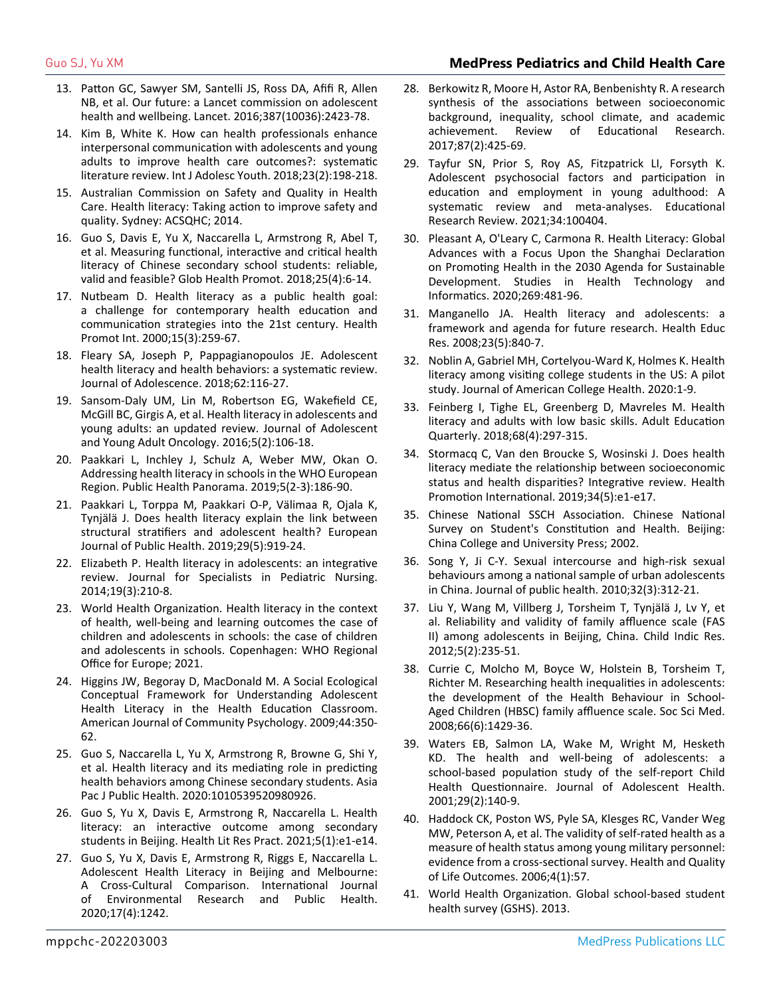# Guo SJ, Yu XM **MedPress Pediatrics and Child Health Care**

- 13. [Patton GC, Sawyer SM, Santelli JS, Ross DA, Afifi R, Allen](https://www.thelancet.com/journals/lancet/article/PIIS0140-6736(16)00579-1/fulltext)  [NB, et al. Our future: a Lancet commission on adolescent](https://www.thelancet.com/journals/lancet/article/PIIS0140-6736(16)00579-1/fulltext)  [health and wellbeing. Lancet. 2016;387\(10036\):2423-78.](https://www.thelancet.com/journals/lancet/article/PIIS0140-6736(16)00579-1/fulltext)
- 14. [Kim B, White K. How can health professionals enhance](https://www.tandfonline.com/doi/full/10.1080/02673843.2017.1330696)  [interpersonal communication with adolescents and young](https://www.tandfonline.com/doi/full/10.1080/02673843.2017.1330696)  [adults to improve health care outcomes?: systematic](https://www.tandfonline.com/doi/full/10.1080/02673843.2017.1330696) [literature review. Int J Adolesc Youth. 2018;23\(2\):198-218.](https://www.tandfonline.com/doi/full/10.1080/02673843.2017.1330696)
- 15. Australian Commission on Safety and Quality in Health Care. Health literacy: Taking action to improve safety and quality. Sydney: ACSQHC; 2014.
- 16. [Guo S, Davis E, Yu X, Naccarella L, Armstrong R, Abel T,](https://pubmed.ncbi.nlm.nih.gov/29638175/)  [et al. Measuring functional, interactive and critical health](https://pubmed.ncbi.nlm.nih.gov/29638175/)  [literacy of Chinese secondary school students: reliable,](https://pubmed.ncbi.nlm.nih.gov/29638175/)  [valid and feasible? Glob Health Promot. 2018;25\(4\):6-14.](https://pubmed.ncbi.nlm.nih.gov/29638175/)
- 17. [Nutbeam D. Health literacy as a public health goal:](https://academic.oup.com/heapro/article/15/3/259/551108)  [a challenge for contemporary health education and](https://academic.oup.com/heapro/article/15/3/259/551108)  [communication strategies into the 21st century. Health](https://academic.oup.com/heapro/article/15/3/259/551108)  [Promot Int. 2000;15\(3\):259-67.](https://academic.oup.com/heapro/article/15/3/259/551108)
- 18. [Fleary SA, Joseph P, Pappagianopoulos JE. Adolescent](https://pubmed.ncbi.nlm.nih.gov/29179126/)  [health literacy and health behaviors: a systematic review.](https://pubmed.ncbi.nlm.nih.gov/29179126/) [Journal of Adolescence. 2018;62:116-27.](https://pubmed.ncbi.nlm.nih.gov/29179126/)
- 19. [Sansom-Daly UM, Lin M, Robertson EG, Wakefield CE,](https://pubmed.ncbi.nlm.nih.gov/26859721/)  [McGill BC, Girgis A, et al. Health literacy in adolescents and](https://pubmed.ncbi.nlm.nih.gov/26859721/)  [young adults: an updated review. Journal of Adolescent](https://pubmed.ncbi.nlm.nih.gov/26859721/)  [and Young Adult Oncology. 2016;5\(2\):106-18.](https://pubmed.ncbi.nlm.nih.gov/26859721/)
- 20. [Paakkari L, Inchley J, Schulz A, Weber MW, Okan O.](https://apps.who.int/iris/handle/10665/327055)  [Addressing health literacy in schools in the WHO European](https://apps.who.int/iris/handle/10665/327055)  [Region. Public Health Panorama. 2019;5\(2-3\):186-90.](https://apps.who.int/iris/handle/10665/327055)
- 21. [Paakkari L, Torppa M, Paakkari O-P, Välimaa R, Ojala K,](https://pubmed.ncbi.nlm.nih.gov/30753409/#:~:text=Results%3A HL was found to,structural stratifiers%2C except for gender.) [Tynjälä J. Does health literacy explain the link between](https://pubmed.ncbi.nlm.nih.gov/30753409/#:~:text=Results%3A HL was found to,structural stratifiers%2C except for gender.) [structural stratifiers and adolescent health? European](https://pubmed.ncbi.nlm.nih.gov/30753409/#:~:text=Results%3A HL was found to,structural stratifiers%2C except for gender.)  [Journal of Public Health. 2019;29\(5\):919-24.](https://pubmed.ncbi.nlm.nih.gov/30753409/#:~:text=Results%3A HL was found to,structural stratifiers%2C except for gender.)
- 22. [Elizabeth P. Health literacy in adolescents: an integrative](https://pubmed.ncbi.nlm.nih.gov/24612548/) [review. Journal for Specialists in Pediatric Nursing.](https://pubmed.ncbi.nlm.nih.gov/24612548/)  [2014;19\(3\):210-8.](https://pubmed.ncbi.nlm.nih.gov/24612548/)
- 23. World Health Organization. Health literacy in the context of health, well-being and learning outcomes the case of children and adolescents in schools: the case of children and adolescents in schools. Copenhagen: WHO Regional Office for Europe; 2021.
- 24. [Higgins JW, Begoray D, MacDonald M. A Social Ecological](https://pubmed.ncbi.nlm.nih.gov/19838790/)  [Conceptual Framework for Understanding Adolescent](https://pubmed.ncbi.nlm.nih.gov/19838790/)  [Health Literacy in the Health Education Classroom.](https://pubmed.ncbi.nlm.nih.gov/19838790/)  [American Journal of Community Psychology. 2009;44:350-](https://pubmed.ncbi.nlm.nih.gov/19838790/) [62.](https://pubmed.ncbi.nlm.nih.gov/19838790/)
- 25. [Guo S, Naccarella L, Yu X, Armstrong R, Browne G, Shi Y,](https://pubmed.ncbi.nlm.nih.gov/33342229/)  [et al. Health literacy and its mediating role in predicting](https://pubmed.ncbi.nlm.nih.gov/33342229/)  [health behaviors among Chinese secondary students. Asia](https://pubmed.ncbi.nlm.nih.gov/33342229/)  [Pac J Public Health. 2020:1010539520980926.](https://pubmed.ncbi.nlm.nih.gov/33342229/)
- 26. [Guo S, Yu X, Davis E, Armstrong R, Naccarella L. Health](https://pubmed.ncbi.nlm.nih.gov/33433628/)  [literacy: an interactive outcome among secondary](https://pubmed.ncbi.nlm.nih.gov/33433628/)  [students in Beijing. Health Lit Res Pract. 2021;5\(1\):e1-e14.](https://pubmed.ncbi.nlm.nih.gov/33433628/)
- 27. [Guo S, Yu X, Davis E, Armstrong R, Riggs E, Naccarella L.](https://www.ncbi.nlm.nih.gov/pmc/articles/PMC7068382/)  [Adolescent Health Literacy in Beijing and Melbourne:](https://www.ncbi.nlm.nih.gov/pmc/articles/PMC7068382/)  [A Cross-Cultural Comparison. International Journal](https://www.ncbi.nlm.nih.gov/pmc/articles/PMC7068382/)  [of Environmental Research and Public Health.](https://www.ncbi.nlm.nih.gov/pmc/articles/PMC7068382/)  [2020;17\(4\):1242.](https://www.ncbi.nlm.nih.gov/pmc/articles/PMC7068382/)
- 28. [Berkowitz R, Moore H, Astor RA, Benbenishty R. A research](https://journals.sagepub.com/doi/abs/10.3102/0034654316669821?journalCode=rera) [synthesis of the associations between socioeconomic](https://journals.sagepub.com/doi/abs/10.3102/0034654316669821?journalCode=rera)  background, inequa[lity, school climate, and academic](https://journals.sagepub.com/doi/abs/10.3102/0034654316669821?journalCode=rera)  [achievement. Review of Educational Research.](https://journals.sagepub.com/doi/abs/10.3102/0034654316669821?journalCode=rera) [2017;87\(2\):425-69.](https://journals.sagepub.com/doi/abs/10.3102/0034654316669821?journalCode=rera)
- 29. [Tayfur SN, Prior S, Roy AS, Fitzpatrick LI, Forsyth K.](https://www.sciencedirect.com/science/article/pii/S1747938X21000270)  [Adolescent psychosocial factors and participation in](https://www.sciencedirect.com/science/article/pii/S1747938X21000270)  [education and employment in young adulthood: A](https://www.sciencedirect.com/science/article/pii/S1747938X21000270) [systematic review and meta-analyses. Educational](https://www.sciencedirect.com/science/article/pii/S1747938X21000270)  [Research Review. 2021;34:100404.](https://www.sciencedirect.com/science/article/pii/S1747938X21000270)
- 30. [Pleasant A, O'Leary C, Carmona R. Health Literacy: Global](https://pubmed.ncbi.nlm.nih.gov/32594016/)  [Advances with a Focus Upon the Shanghai Declaration](https://pubmed.ncbi.nlm.nih.gov/32594016/)  [on Promoting Health in the 2030 Agenda for Sustainable](https://pubmed.ncbi.nlm.nih.gov/32594016/)  [Development. Studies in Health Technology and](https://pubmed.ncbi.nlm.nih.gov/32594016/)  [Informatics. 2020;269:481-96.](https://pubmed.ncbi.nlm.nih.gov/32594016/)
- 31. [Manganello JA. Health literacy and adolescents: a](https://pubmed.ncbi.nlm.nih.gov/18024979/)  [framework and agenda for future research. Health Educ](https://pubmed.ncbi.nlm.nih.gov/18024979/)  [Res. 2008;23\(5\):840-7.](https://pubmed.ncbi.nlm.nih.gov/18024979/)
- 32. [Noblin A, Gabriel MH, Cortelyou-Ward K, Holmes K. Health](https://pubmed.ncbi.nlm.nih.gov/32432972/)  [literacy among visiting college students in the US: A pilot](https://pubmed.ncbi.nlm.nih.gov/32432972/)  [study. Journal of American College Health. 2020:1-9.](https://pubmed.ncbi.nlm.nih.gov/32432972/)
- 33. [Feinberg I, Tighe EL, Greenberg D, Mavreles M. Health](https://journals.sagepub.com/doi/abs/10.1177/0741713618783487?journalCode=aeqb)  [literacy and adults with low basic skills. Adult Education](https://journals.sagepub.com/doi/abs/10.1177/0741713618783487?journalCode=aeqb)  [Quarterly. 2018;68\(4\):297-315.](https://journals.sagepub.com/doi/abs/10.1177/0741713618783487?journalCode=aeqb)
- 34. [Stormacq C, Van den Broucke S, Wosinski J. Does health](https://pubmed.ncbi.nlm.nih.gov/30107564/)  [literacy mediate the relationship between socioeconomic](https://pubmed.ncbi.nlm.nih.gov/30107564/)  [status and health disparities? Integrative review. Health](https://pubmed.ncbi.nlm.nih.gov/30107564/)  [Promotion International. 2019;34\(5\):e1-e17.](https://pubmed.ncbi.nlm.nih.gov/30107564/)
- 35. Chinese National SSCH Association. Chinese National Survey on Student's Constitution and Health. Beijing: China College and University Press; 2002.
- 36. [Song Y, Ji C-Y. Sexual intercourse and high-risk sexual](https://pubmed.ncbi.nlm.nih.gov/20147385/)  [behaviours among a national sample of urban adolescents](https://pubmed.ncbi.nlm.nih.gov/20147385/)  [in China. Journal of public health. 2010;32\(3\):312-21.](https://pubmed.ncbi.nlm.nih.gov/20147385/)
- 37. [Liu Y, Wang M, Villberg J, Torsheim T, Tynjälä J, Lv Y, et](https://link.springer.com/article/10.1007/s12187-011-9131-5)  [al. Reliability and validity of family affluence scale \(FAS](https://link.springer.com/article/10.1007/s12187-011-9131-5)  [II\) among adolescents in Beijing, China. Child Indic Res.](https://link.springer.com/article/10.1007/s12187-011-9131-5)  [2012;5\(2\):235-51.](https://link.springer.com/article/10.1007/s12187-011-9131-5)
- 38. [Currie C, Molcho M, Boyce W, Holstein B, Torsheim T,](https://pubmed.ncbi.nlm.nih.gov/18179852/) [Richter M. Researching health inequalities in adolescents:](https://pubmed.ncbi.nlm.nih.gov/18179852/)  [the development of the Health Behaviour in School-](https://pubmed.ncbi.nlm.nih.gov/18179852/)[Aged Children \(HBSC\) family affluence scale. Soc Sci Med.](https://pubmed.ncbi.nlm.nih.gov/18179852/)  [2008;66\(6\):1429-36.](https://pubmed.ncbi.nlm.nih.gov/18179852/)
- 39. [Waters EB, Salmon LA, Wake M, Wright M, Hesketh](https://pubmed.ncbi.nlm.nih.gov/11472873/) [KD. The health and well-being of adolescents: a](https://pubmed.ncbi.nlm.nih.gov/11472873/)  [school-based population study of the self-report Child](https://pubmed.ncbi.nlm.nih.gov/11472873/)  [Health Questionnaire. Journal of Adolescent Health.](https://pubmed.ncbi.nlm.nih.gov/11472873/)  [2001;29\(2\):140-9.](https://pubmed.ncbi.nlm.nih.gov/11472873/)
- 40. [Haddock CK, Poston WS, Pyle SA, Klesges RC, Vander Weg](https://pubmed.ncbi.nlm.nih.gov/16939653/) [MW, Peterson A, et al. The validity of self-rated health as a](https://pubmed.ncbi.nlm.nih.gov/16939653/) [measure of health status among young military personnel:](https://pubmed.ncbi.nlm.nih.gov/16939653/)  [evidence from a cross-sectional survey. Health and Quality](https://pubmed.ncbi.nlm.nih.gov/16939653/)  [of Life Outcomes. 2006;4\(1\):57.](https://pubmed.ncbi.nlm.nih.gov/16939653/)
- 41. World Health Organization. Global school-based student health survey (GSHS). 2013.